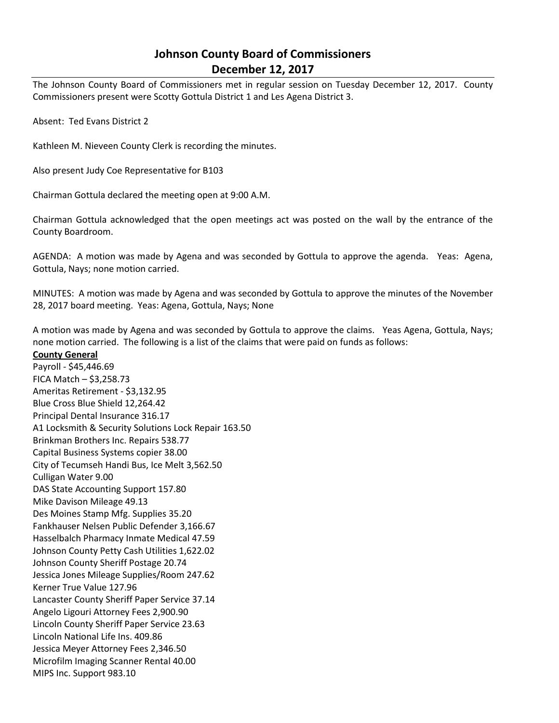## **Johnson County Board of Commissioners December 12, 2017**

The Johnson County Board of Commissioners met in regular session on Tuesday December 12, 2017. County Commissioners present were Scotty Gottula District 1 and Les Agena District 3.

Absent: Ted Evans District 2

Kathleen M. Nieveen County Clerk is recording the minutes.

Also present Judy Coe Representative for B103

Chairman Gottula declared the meeting open at 9:00 A.M.

Chairman Gottula acknowledged that the open meetings act was posted on the wall by the entrance of the County Boardroom.

AGENDA: A motion was made by Agena and was seconded by Gottula to approve the agenda. Yeas: Agena, Gottula, Nays; none motion carried.

MINUTES: A motion was made by Agena and was seconded by Gottula to approve the minutes of the November 28, 2017 board meeting. Yeas: Agena, Gottula, Nays; None

A motion was made by Agena and was seconded by Gottula to approve the claims. Yeas Agena, Gottula, Nays; none motion carried. The following is a list of the claims that were paid on funds as follows:

**County General**

Payroll - \$45,446.69 FICA Match – \$3,258.73 Ameritas Retirement - \$3,132.95 Blue Cross Blue Shield 12,264.42 Principal Dental Insurance 316.17 A1 Locksmith & Security Solutions Lock Repair 163.50 Brinkman Brothers Inc. Repairs 538.77 Capital Business Systems copier 38.00 City of Tecumseh Handi Bus, Ice Melt 3,562.50 Culligan Water 9.00 DAS State Accounting Support 157.80 Mike Davison Mileage 49.13 Des Moines Stamp Mfg. Supplies 35.20 Fankhauser Nelsen Public Defender 3,166.67 Hasselbalch Pharmacy Inmate Medical 47.59 Johnson County Petty Cash Utilities 1,622.02 Johnson County Sheriff Postage 20.74 Jessica Jones Mileage Supplies/Room 247.62 Kerner True Value 127.96 Lancaster County Sheriff Paper Service 37.14 Angelo Ligouri Attorney Fees 2,900.90 Lincoln County Sheriff Paper Service 23.63 Lincoln National Life Ins. 409.86 Jessica Meyer Attorney Fees 2,346.50 Microfilm Imaging Scanner Rental 40.00 MIPS Inc. Support 983.10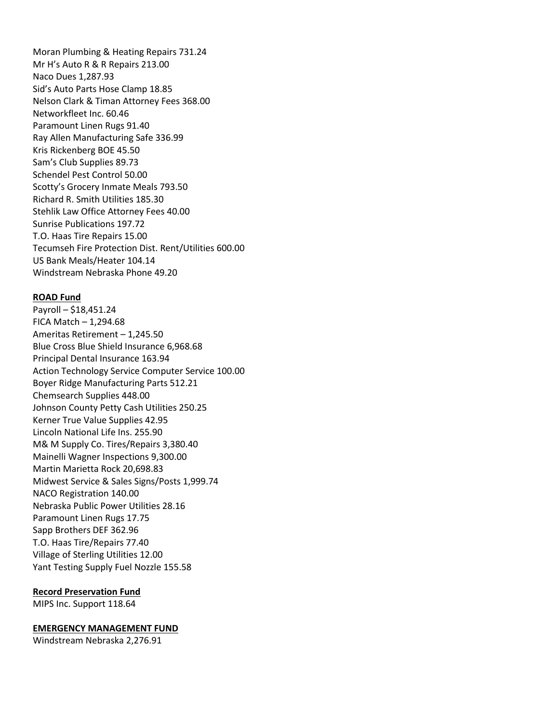Moran Plumbing & Heating Repairs 731.24 Mr H's Auto R & R Repairs 213.00 Naco Dues 1,287.93 Sid's Auto Parts Hose Clamp 18.85 Nelson Clark & Timan Attorney Fees 368.00 Networkfleet Inc. 60.46 Paramount Linen Rugs 91.40 Ray Allen Manufacturing Safe 336.99 Kris Rickenberg BOE 45.50 Sam's Club Supplies 89.73 Schendel Pest Control 50.00 Scotty's Grocery Inmate Meals 793.50 Richard R. Smith Utilities 185.30 Stehlik Law Office Attorney Fees 40.00 Sunrise Publications 197.72 T.O. Haas Tire Repairs 15.00 Tecumseh Fire Protection Dist. Rent/Utilities 600.00 US Bank Meals/Heater 104.14 Windstream Nebraska Phone 49.20

## **ROAD Fund**

Payroll – \$18,451.24 FICA Match  $-1,294.68$ Ameritas Retirement – 1,245.50 Blue Cross Blue Shield Insurance 6,968.68 Principal Dental Insurance 163.94 Action Technology Service Computer Service 100.00 Boyer Ridge Manufacturing Parts 512.21 Chemsearch Supplies 448.00 Johnson County Petty Cash Utilities 250.25 Kerner True Value Supplies 42.95 Lincoln National Life Ins. 255.90 M& M Supply Co. Tires/Repairs 3,380.40 Mainelli Wagner Inspections 9,300.00 Martin Marietta Rock 20,698.83 Midwest Service & Sales Signs/Posts 1,999.74 NACO Registration 140.00 Nebraska Public Power Utilities 28.16 Paramount Linen Rugs 17.75 Sapp Brothers DEF 362.96 T.O. Haas Tire/Repairs 77.40 Village of Sterling Utilities 12.00 Yant Testing Supply Fuel Nozzle 155.58

## **Record Preservation Fund**

MIPS Inc. Support 118.64

## **EMERGENCY MANAGEMENT FUND**

Windstream Nebraska 2,276.91